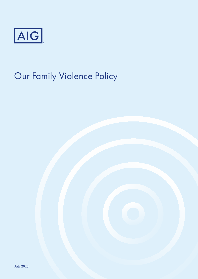

# Our Family Violence Policy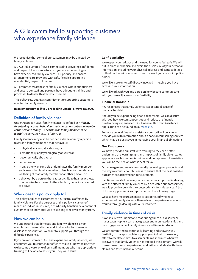# AIG is committed to supporting customers who experience family violence

We recognise that some of our customers may be affected by family violence.

AIG Australia Limited (AIG) is committed to providing confidential and respectful assistance to you if you are experiencing or have experienced family violence. Our priority is to ensure all customers are provided with safe, flexible support in a confidential, respectful manner.

AIG promotes awareness of family violence within our business and ensure our staff and partners have adequate training and processes to deal with affected customers.

This policy sets out AIG's commitment to supporting customers affected by family violence.

**In an emergency or if you are feeling unsafe, always call 000.** 

# **Definition of family violence**

Under Australian Law, 'family violence' is defined as *"violent, threatening or other behaviour that coerces or controls a member of the person's family… or causes the family member to be fearful" Family Law Act 1975 (Cth) 4AB*

Family Violence may also be defined as behaviour by a person towards a family member if that behaviour:

- is physically or sexually abusive; or
- is emotionally or psychologically abusive; or
- is economically abusive; or
- is coercive; or
- in any other way controls or dominates the family member and causes that family member to feel fear for the safety or wellbeing of that family member or another person; or
- behaviour by a person that causes a child to hear or witness, or otherwise be exposed to the effects of, behaviour referred to above.

# **Who does this policy apply to?**

This policy applies to customers of AIG Australia affected by family violence. For the purposes of this policy a 'customer' means an individual insured, a third-party beneficiary, a potential customer or an individual we are seeking to recover money from.

# **How we can help**

We understand that domestic and family violence is a very complex and personal issue, and it takes a lot for someone to disclose their situation. We want to support you through this difficult experience.

If you are a customer of AIG and experience family violence, we encourage you to contact our office to make it known to us. When we become aware, one of our staff members who has appropriate training will be able to assist you. They will ensure:

#### **Confidentiality**

We respect your privacy and the need for you to feel safe. We will put in place mechanisms to avoid the disclosure of your personal information, including your physical address and contact details, to third parties without your consent, even if you are a joint policy holder.

We will ensure only staff directly involved in helping you have access to your information.

We will work with you and agree on how best to communicate with you. We will always show flexibility.

#### **Financial Hardship**

AIG recognises that family violence is a potential cause of financial hardship.

Should you be experiencing financial hardship, we can discuss with you how we can support you and reduce the financial burden being experienced. Our Financial Hardship Assistance application can be found on our [website](https://www.aig.com.au/content/dam/aig/apac/australia/documents/forms/2020_financial-hardship-application-form-draft-2020-06-22.pdf).

For more general financial assistance our staff will be able to provide you with information about financial counselling services which may also assist you in managing your financial obligations.

#### **Our Employees**

We have provided our staff with training so they can better understand the warning signs and impacts of family violence. We appreciate each situation is unique and our approach to assisting you will be focused on what is best for you.

Our management team is continually reviewing our products and the way we conduct our business to ensure that the best possible outcomes are achieved for our customers.

If at times our staff believe you can be better supported in dealing with the effects of family violence by a dedicated support service, we will provide you with the contact details for this service. A list of those support services is provided on the following page.

We also have measures in place to support staff who have experienced family violence themselves or experience vicarious trauma through dealing with our customers.

## **Family violence in times of crisis**

As an insurer we understand that during times of a disaster or major catastrophe it can place greater strain on relationships and be a trigger for acts of family violence and financial strain.

We are committed to continually learning and showing you flexibility in our approach to support you. AIG will make every effort to escalate claims to a senior claims specialist when we are aware that family violence has affected the claimant. We will make sure our most experienced and skilled staff deal with these claims and fast-track an outcome.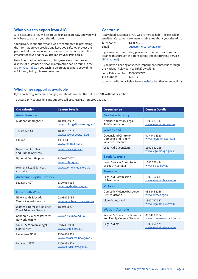# **What you can expect from AIG**

All disclosures to AIG will be provided in a secure way and you will only have to explain your situation once.

Your privacy is our priority and we are committed to protecting the information you provide and keep you safe. We protect the personal information of our customers in accordance with the *Privacy Act 1988* and the **Australian Privacy Principles**.

More information on how we collect, use, store, disclose and dispose of customer's personal information can be found in the [AIG Privacy Policy.](http://www.aig.com.au/privacy) If you wish to be provided a hard copy of the AIG Privacy Policy, please contact us.

## **Contact us**

As a valued customer of AIG we are here to help. Please call or email our Customer Care team to talk to us about your situation;

Telephone: **1300 295 016**<br>Email: **1300 295 016** 

aucustomercare@aig.com

If you need an interpreter, please call or email us and we can arrange this through the Transalating and Interpreting Service ([TIS National](https://www.tisnational.gov.au/)).

If you have a hearing or speech impairment contact us through the National Relay Service (NRS) by calling;

Voice Relay number: 1300 555 727 TTY number: 133 677

or go to the National Relay Service [website](https://www.communications.gov.au/what-we-do/phone/services-people-disability/accesshub/national-relay-service) for other access options.

## **What other support is available**

If you are facing immediate danger, you should contact the Police on **000** without hesitation.

To access 24/7 counselling and support call 1800RESPECT on 1800 737 732

| <b>Organisation</b>                                        | <b>Contact Details</b>                                    | <b>Organisation</b>                                         |
|------------------------------------------------------------|-----------------------------------------------------------|-------------------------------------------------------------|
| Australia-wide                                             |                                                           | <b>Northern Territor</b>                                    |
| Kildonan UnitingCare                                       | 1800 002 992<br>www.unitingkildonan.org.au/               | Northern Territory I<br>Aid Commission                      |
| 1800RESPECT                                                | 1800 737 732                                              | Queensland                                                  |
| Lifeline                                                   | www.1800respect.org.au<br>13 11 14<br>www.lifeline.org.au | Queensland Centre<br>Domestic and Fami<br>Violence Research |
| Department of Health<br>and Human Services                 | www.dhs.vic.gov.au                                        | Legal Aid Queensla                                          |
| National Debt Helpline                                     | 1800 007 007<br>www.ndh.org.au                            | <b>South Australia</b><br>Legal Services Com                |
| <b>Women's Legal Services</b><br>Australia                 | www.Womenslegal.org.au                                    | of South Australia                                          |
|                                                            |                                                           | <b>Tasmania</b>                                             |
| <b>Australian Capital Territory</b>                        |                                                           | Legal Aid Commissi<br>of Tasmania                           |
| Legal Aid ACT                                              | 1300 654 314<br>www.legalaidact.org.au                    | <b>Victoria</b>                                             |
| <b>New South Wales</b>                                     |                                                           | Domestic Violence<br>Centre Victoria                        |
| <b>NSW Health Education</b><br>Centre Against Violence     | 02 9840 3735<br>www.ecav.health.nsw.gov.au                | Victoria Legal Aid                                          |
| Women's Domestic Violence<br><b>Court Advocacy Service</b> | 1800 938 227                                              | <b>Western Australio</b>                                    |
| <b>Gendered Violence Research</b><br>Network, UNSW         | www.arts.unsw.edu.au                                      | Women's Council fo<br>and Family Violence                   |
| Ask LOIS (Women's Legal<br>Service NSW)                    | 02 8745 6900<br>www.asklois.org.au                        | Legal Aid WA                                                |
| <b>LawAccess NSW</b>                                       | 1300 888 529<br>www.lawaccess.nsw.gov.au                  |                                                             |
| Legal Aid NSW                                              | 1300 888 529<br>www.service.nsw.gov.au                    |                                                             |

| <b>Organisation</b>                                               | <b>Contact Details</b>                   |  |  |  |
|-------------------------------------------------------------------|------------------------------------------|--|--|--|
| <b>Northern Territory</b>                                         |                                          |  |  |  |
| Northern Territory Legal<br>Aid Commission                        | 1800 019 343<br>www.legalaid.nt.gov.au   |  |  |  |
| Queensland                                                        |                                          |  |  |  |
| Queensland Centre for<br>Domestic and Family<br>Violence Research | 07 4940 3320<br>www.noviolence.org.au    |  |  |  |
| Legal Aid Queensland                                              | 1300 651 188<br>www.legalaid.gld.gov.au  |  |  |  |
| South Australia                                                   |                                          |  |  |  |
| Legal Services Commission<br>of South Australia                   | 1300 366 424<br>www.lsc.sa.gov.au        |  |  |  |
| <b>Tasmania</b>                                                   |                                          |  |  |  |
| Legal Aid Commission<br>of Tasmania                               | 1300 366 611<br>www.legalaid.tas.gov.au  |  |  |  |
| <b>Victoria</b>                                                   |                                          |  |  |  |
| Domestic Violence Resource<br>Centre Victoria                     | 0383465266<br>www.dvrcv.org.au           |  |  |  |
| Victoria Legal Aid                                                | 1300 792 387<br>www.legalaid.vic.gov.au  |  |  |  |
| <b>Western Australia</b>                                          |                                          |  |  |  |
| Women's Council for Domestic<br>and Family Violence Services      | 08 9420 7264<br>www.womenscouncil.com.au |  |  |  |
| Legal Aid WA                                                      | 1300 650 579<br>www.legalaid.wa.gov.au   |  |  |  |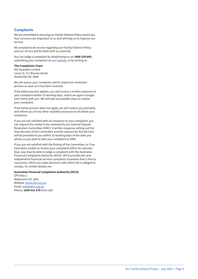# **Complaints**

We are committed to ensuring our Family Violence Policy assists you. Your concerns are important to us and will help us to improve our service.

All complaints we receive regarding our Family Violence Policy and our service will be dealt with as a priority.

You can lodge a complaint by telephoning us on **1800 339 669**, submitting your complaint on our [website](https://www.aig.com.au/complaints-handling0), or by writing to:

#### **The Complaints Team**

AIG Australia Limited Level 13, 717 Bourke Street Docklands VIC 3008

We will assess your complaint and its respective resolution process as soon as it has been received.

If the below process applies, you will receive a written response to your complaint within 15 working days, unless we agree a longer time frame with you. We will take all possible steps to resolve your complaint.

If the below process does not apply, we will contact you promptly and inform you of any other available processes to facilitate your resolution.

If you are not satisfied with our response to your complaint, you can request the matter to be reviewed by our Internal Dispute Resolution Committee (IDRC). A written response setting out the final decision of the Committee and the reasons for this decision will be provided to you within 15 working days of the date you advise us you wish to take your complaint to IDRC.

If you are not satisfied with the finding of the Committee, or if we have been unable to resolve your complaint within 45 calendar days, you may be able to lodge a complaint with the Australian Financial Complaints Authority (AFCA). AFCA provides fair and independent financial services complaint resolution that is free to consumers. AFCA can make decisions with which AIG is obliged to comply. Its contact details are:

#### **Australian Financial Complaints Authority (AFCA)**

GPO Box 3 Melbourne VIC 3001 Website: www.afca.org.au Email: info@afca.org.au Phone: **1800 931 678** (free call)